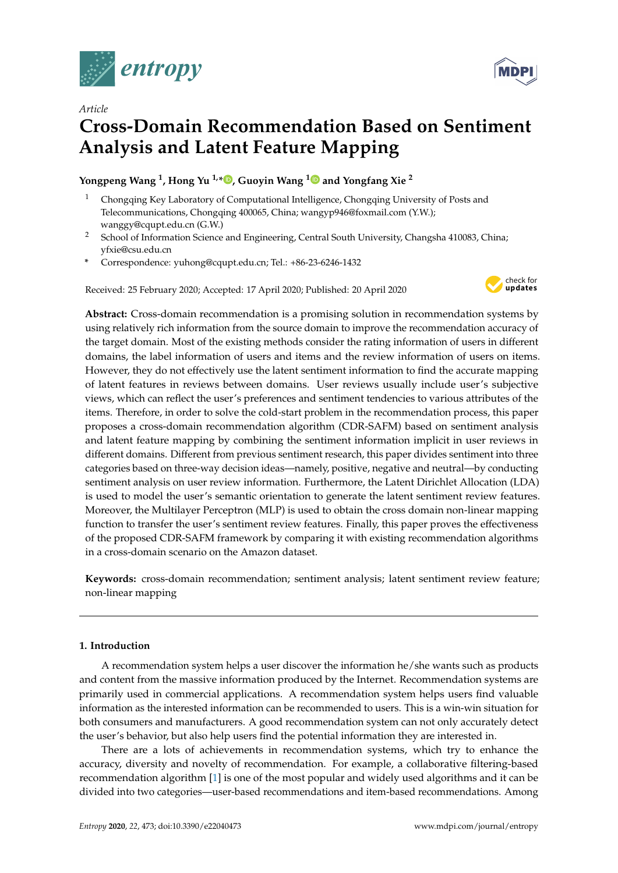



# **Cross-Domain Recommendation Based on Sentiment Analysis and Latent Feature Mapping**

# **Yongpeng Wang <sup>1</sup> , Hong Yu 1,[\\*](https://orcid.org/0000-0003-0667-8413) , Guoyin Wang [1](https://orcid.org/0000-0002-8521-5232) and Yongfang Xie <sup>2</sup>**

- <sup>1</sup> Chongqing Key Laboratory of Computational Intelligence, Chongqing University of Posts and Telecommunications, Chongqing 400065, China; wangyp946@foxmail.com (Y.W.); wanggy@cqupt.edu.cn (G.W.)
- <sup>2</sup> School of Information Science and Engineering, Central South University, Changsha 410083, China; yfxie@csu.edu.cn
- **\*** Correspondence: yuhong@cqupt.edu.cn; Tel.: +86-23-6246-1432

Received: 25 February 2020; Accepted: 17 April 2020; Published: 20 April 2020



**Abstract:** Cross-domain recommendation is a promising solution in recommendation systems by using relatively rich information from the source domain to improve the recommendation accuracy of the target domain. Most of the existing methods consider the rating information of users in different domains, the label information of users and items and the review information of users on items. However, they do not effectively use the latent sentiment information to find the accurate mapping of latent features in reviews between domains. User reviews usually include user's subjective views, which can reflect the user's preferences and sentiment tendencies to various attributes of the items. Therefore, in order to solve the cold-start problem in the recommendation process, this paper proposes a cross-domain recommendation algorithm (CDR-SAFM) based on sentiment analysis and latent feature mapping by combining the sentiment information implicit in user reviews in different domains. Different from previous sentiment research, this paper divides sentiment into three categories based on three-way decision ideas—namely, positive, negative and neutral—by conducting sentiment analysis on user review information. Furthermore, the Latent Dirichlet Allocation (LDA) is used to model the user's semantic orientation to generate the latent sentiment review features. Moreover, the Multilayer Perceptron (MLP) is used to obtain the cross domain non-linear mapping function to transfer the user's sentiment review features. Finally, this paper proves the effectiveness of the proposed CDR-SAFM framework by comparing it with existing recommendation algorithms in a cross-domain scenario on the Amazon dataset.

**Keywords:** cross-domain recommendation; sentiment analysis; latent sentiment review feature; non-linear mapping

# **1. Introduction**

A recommendation system helps a user discover the information he/she wants such as products and content from the massive information produced by the Internet. Recommendation systems are primarily used in commercial applications. A recommendation system helps users find valuable information as the interested information can be recommended to users. This is a win-win situation for both consumers and manufacturers. A good recommendation system can not only accurately detect the user's behavior, but also help users find the potential information they are interested in.

There are a lots of achievements in recommendation systems, which try to enhance the accuracy, diversity and novelty of recommendation. For example, a collaborative filtering-based recommendation algorithm [\[1\]](#page-13-0) is one of the most popular and widely used algorithms and it can be divided into two categories—user-based recommendations and item-based recommendations. Among

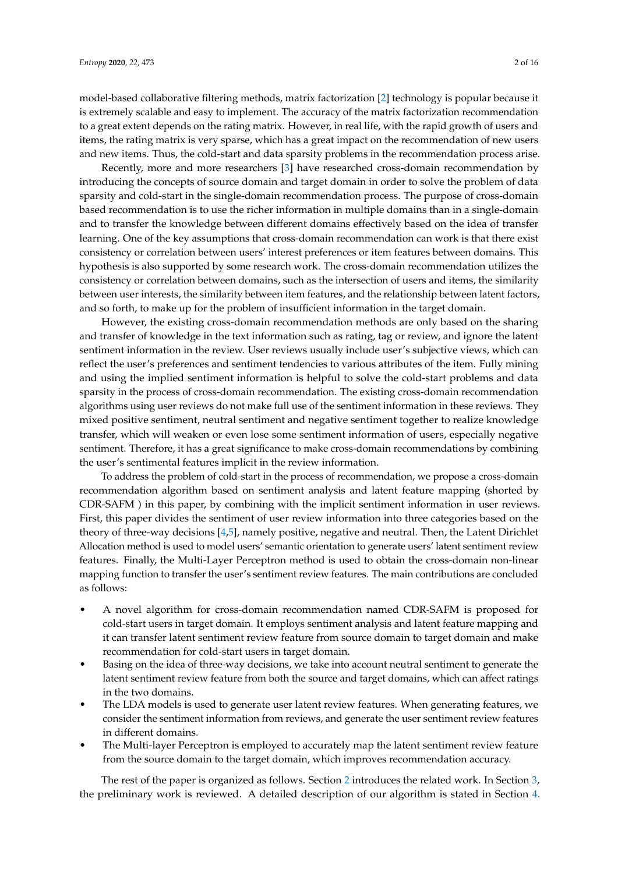model-based collaborative filtering methods, matrix factorization [\[2\]](#page-13-1) technology is popular because it is extremely scalable and easy to implement. The accuracy of the matrix factorization recommendation to a great extent depends on the rating matrix. However, in real life, with the rapid growth of users and items, the rating matrix is very sparse, which has a great impact on the recommendation of new users and new items. Thus, the cold-start and data sparsity problems in the recommendation process arise.

Recently, more and more researchers [\[3\]](#page-13-2) have researched cross-domain recommendation by introducing the concepts of source domain and target domain in order to solve the problem of data sparsity and cold-start in the single-domain recommendation process. The purpose of cross-domain based recommendation is to use the richer information in multiple domains than in a single-domain and to transfer the knowledge between different domains effectively based on the idea of transfer learning. One of the key assumptions that cross-domain recommendation can work is that there exist consistency or correlation between users' interest preferences or item features between domains. This hypothesis is also supported by some research work. The cross-domain recommendation utilizes the consistency or correlation between domains, such as the intersection of users and items, the similarity between user interests, the similarity between item features, and the relationship between latent factors, and so forth, to make up for the problem of insufficient information in the target domain.

However, the existing cross-domain recommendation methods are only based on the sharing and transfer of knowledge in the text information such as rating, tag or review, and ignore the latent sentiment information in the review. User reviews usually include user's subjective views, which can reflect the user's preferences and sentiment tendencies to various attributes of the item. Fully mining and using the implied sentiment information is helpful to solve the cold-start problems and data sparsity in the process of cross-domain recommendation. The existing cross-domain recommendation algorithms using user reviews do not make full use of the sentiment information in these reviews. They mixed positive sentiment, neutral sentiment and negative sentiment together to realize knowledge transfer, which will weaken or even lose some sentiment information of users, especially negative sentiment. Therefore, it has a great significance to make cross-domain recommendations by combining the user's sentimental features implicit in the review information.

To address the problem of cold-start in the process of recommendation, we propose a cross-domain recommendation algorithm based on sentiment analysis and latent feature mapping (shorted by CDR-SAFM ) in this paper, by combining with the implicit sentiment information in user reviews. First, this paper divides the sentiment of user review information into three categories based on the theory of three-way decisions [\[4,](#page-14-0)[5\]](#page-14-1), namely positive, negative and neutral. Then, the Latent Dirichlet Allocation method is used to model users' semantic orientation to generate users' latent sentiment review features. Finally, the Multi-Layer Perceptron method is used to obtain the cross-domain non-linear mapping function to transfer the user's sentiment review features. The main contributions are concluded as follows:

- A novel algorithm for cross-domain recommendation named CDR-SAFM is proposed for cold-start users in target domain. It employs sentiment analysis and latent feature mapping and it can transfer latent sentiment review feature from source domain to target domain and make recommendation for cold-start users in target domain.
- Basing on the idea of three-way decisions, we take into account neutral sentiment to generate the latent sentiment review feature from both the source and target domains, which can affect ratings in the two domains.
- The LDA models is used to generate user latent review features. When generating features, we consider the sentiment information from reviews, and generate the user sentiment review features in different domains.
- The Multi-layer Perceptron is employed to accurately map the latent sentiment review feature from the source domain to the target domain, which improves recommendation accuracy.

The rest of the paper is organized as follows. Section [2](#page-2-0) introduces the related work. In Section [3,](#page-3-0) the preliminary work is reviewed. A detailed description of our algorithm is stated in Section [4.](#page-5-0)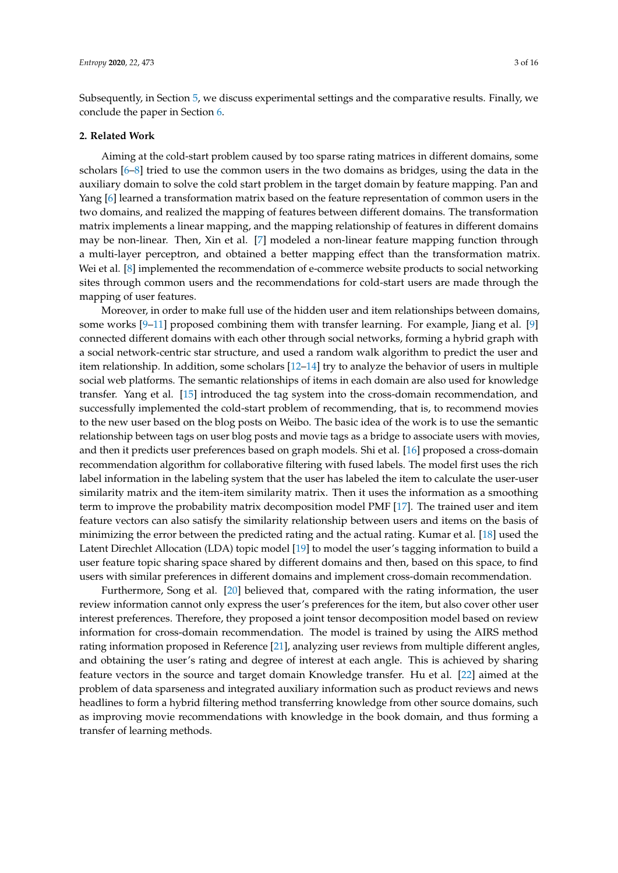Subsequently, in Section [5,](#page-10-0) we discuss experimental settings and the comparative results. Finally, we conclude the paper in Section [6.](#page-13-3)

# <span id="page-2-0"></span>**2. Related Work**

Aiming at the cold-start problem caused by too sparse rating matrices in different domains, some scholars [\[6–](#page-14-2)[8\]](#page-14-3) tried to use the common users in the two domains as bridges, using the data in the auxiliary domain to solve the cold start problem in the target domain by feature mapping. Pan and Yang [\[6\]](#page-14-2) learned a transformation matrix based on the feature representation of common users in the two domains, and realized the mapping of features between different domains. The transformation matrix implements a linear mapping, and the mapping relationship of features in different domains may be non-linear. Then, Xin et al. [\[7\]](#page-14-4) modeled a non-linear feature mapping function through a multi-layer perceptron, and obtained a better mapping effect than the transformation matrix. Wei et al. [\[8\]](#page-14-3) implemented the recommendation of e-commerce website products to social networking sites through common users and the recommendations for cold-start users are made through the mapping of user features.

Moreover, in order to make full use of the hidden user and item relationships between domains, some works  $[9-11]$  $[9-11]$  proposed combining them with transfer learning. For example, Jiang et al.  $[9]$ connected different domains with each other through social networks, forming a hybrid graph with a social network-centric star structure, and used a random walk algorithm to predict the user and item relationship. In addition, some scholars [\[12](#page-14-7)[–14\]](#page-14-8) try to analyze the behavior of users in multiple social web platforms. The semantic relationships of items in each domain are also used for knowledge transfer. Yang et al. [\[15\]](#page-14-9) introduced the tag system into the cross-domain recommendation, and successfully implemented the cold-start problem of recommending, that is, to recommend movies to the new user based on the blog posts on Weibo. The basic idea of the work is to use the semantic relationship between tags on user blog posts and movie tags as a bridge to associate users with movies, and then it predicts user preferences based on graph models. Shi et al. [\[16\]](#page-14-10) proposed a cross-domain recommendation algorithm for collaborative filtering with fused labels. The model first uses the rich label information in the labeling system that the user has labeled the item to calculate the user-user similarity matrix and the item-item similarity matrix. Then it uses the information as a smoothing term to improve the probability matrix decomposition model PMF [\[17\]](#page-14-11). The trained user and item feature vectors can also satisfy the similarity relationship between users and items on the basis of minimizing the error between the predicted rating and the actual rating. Kumar et al. [\[18\]](#page-14-12) used the Latent Direchlet Allocation (LDA) topic model [\[19\]](#page-14-13) to model the user's tagging information to build a user feature topic sharing space shared by different domains and then, based on this space, to find users with similar preferences in different domains and implement cross-domain recommendation.

Furthermore, Song et al. [\[20\]](#page-14-14) believed that, compared with the rating information, the user review information cannot only express the user's preferences for the item, but also cover other user interest preferences. Therefore, they proposed a joint tensor decomposition model based on review information for cross-domain recommendation. The model is trained by using the AIRS method rating information proposed in Reference [\[21\]](#page-14-15), analyzing user reviews from multiple different angles, and obtaining the user's rating and degree of interest at each angle. This is achieved by sharing feature vectors in the source and target domain Knowledge transfer. Hu et al. [\[22\]](#page-14-16) aimed at the problem of data sparseness and integrated auxiliary information such as product reviews and news headlines to form a hybrid filtering method transferring knowledge from other source domains, such as improving movie recommendations with knowledge in the book domain, and thus forming a transfer of learning methods.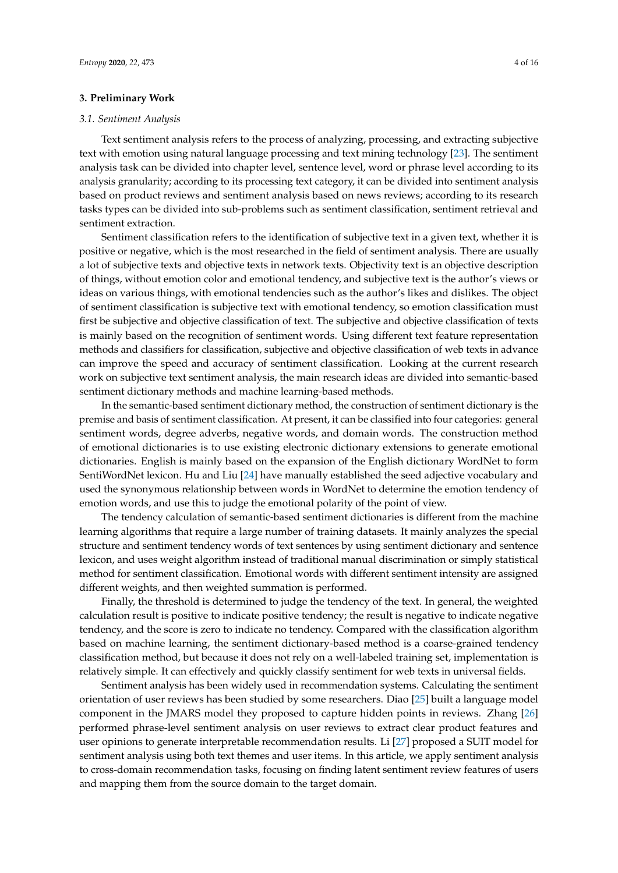# <span id="page-3-0"></span>**3. Preliminary Work**

# *3.1. Sentiment Analysis*

Text sentiment analysis refers to the process of analyzing, processing, and extracting subjective text with emotion using natural language processing and text mining technology [\[23\]](#page-14-17). The sentiment analysis task can be divided into chapter level, sentence level, word or phrase level according to its analysis granularity; according to its processing text category, it can be divided into sentiment analysis based on product reviews and sentiment analysis based on news reviews; according to its research tasks types can be divided into sub-problems such as sentiment classification, sentiment retrieval and sentiment extraction.

Sentiment classification refers to the identification of subjective text in a given text, whether it is positive or negative, which is the most researched in the field of sentiment analysis. There are usually a lot of subjective texts and objective texts in network texts. Objectivity text is an objective description of things, without emotion color and emotional tendency, and subjective text is the author's views or ideas on various things, with emotional tendencies such as the author's likes and dislikes. The object of sentiment classification is subjective text with emotional tendency, so emotion classification must first be subjective and objective classification of text. The subjective and objective classification of texts is mainly based on the recognition of sentiment words. Using different text feature representation methods and classifiers for classification, subjective and objective classification of web texts in advance can improve the speed and accuracy of sentiment classification. Looking at the current research work on subjective text sentiment analysis, the main research ideas are divided into semantic-based sentiment dictionary methods and machine learning-based methods.

In the semantic-based sentiment dictionary method, the construction of sentiment dictionary is the premise and basis of sentiment classification. At present, it can be classified into four categories: general sentiment words, degree adverbs, negative words, and domain words. The construction method of emotional dictionaries is to use existing electronic dictionary extensions to generate emotional dictionaries. English is mainly based on the expansion of the English dictionary WordNet to form SentiWordNet lexicon. Hu and Liu [\[24\]](#page-14-18) have manually established the seed adjective vocabulary and used the synonymous relationship between words in WordNet to determine the emotion tendency of emotion words, and use this to judge the emotional polarity of the point of view.

The tendency calculation of semantic-based sentiment dictionaries is different from the machine learning algorithms that require a large number of training datasets. It mainly analyzes the special structure and sentiment tendency words of text sentences by using sentiment dictionary and sentence lexicon, and uses weight algorithm instead of traditional manual discrimination or simply statistical method for sentiment classification. Emotional words with different sentiment intensity are assigned different weights, and then weighted summation is performed.

Finally, the threshold is determined to judge the tendency of the text. In general, the weighted calculation result is positive to indicate positive tendency; the result is negative to indicate negative tendency, and the score is zero to indicate no tendency. Compared with the classification algorithm based on machine learning, the sentiment dictionary-based method is a coarse-grained tendency classification method, but because it does not rely on a well-labeled training set, implementation is relatively simple. It can effectively and quickly classify sentiment for web texts in universal fields.

Sentiment analysis has been widely used in recommendation systems. Calculating the sentiment orientation of user reviews has been studied by some researchers. Diao [\[25\]](#page-14-19) built a language model component in the JMARS model they proposed to capture hidden points in reviews. Zhang [\[26\]](#page-15-0) performed phrase-level sentiment analysis on user reviews to extract clear product features and user opinions to generate interpretable recommendation results. Li [\[27\]](#page-15-1) proposed a SUIT model for sentiment analysis using both text themes and user items. In this article, we apply sentiment analysis to cross-domain recommendation tasks, focusing on finding latent sentiment review features of users and mapping them from the source domain to the target domain.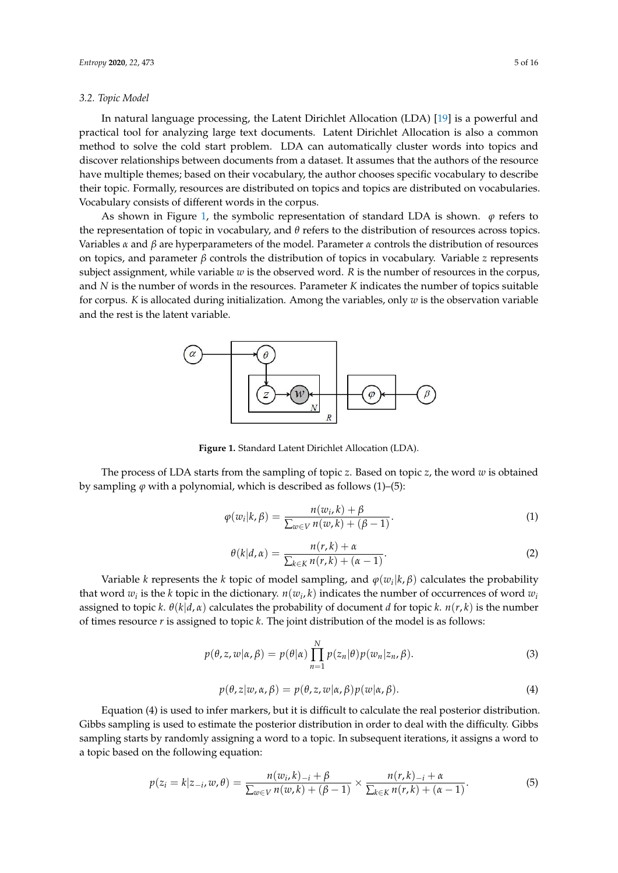#### *3.2. Topic Model*

In natural language processing, the Latent Dirichlet Allocation (LDA) [\[19\]](#page-14-13) is a powerful and practical tool for analyzing large text documents. Latent Dirichlet Allocation is also a common method to solve the cold start problem. LDA can automatically cluster words into topics and discover relationships between documents from a dataset. It assumes that the authors of the resource have multiple themes; based on their vocabulary, the author chooses specific vocabulary to describe their topic. Formally, resources are distributed on topics and topics are distributed on vocabularies. Vocabulary consists of different words in the corpus.

As shown in Figure [1,](#page-4-0) the symbolic representation of standard LDA is shown. *ϕ* refers to the representation of topic in vocabulary, and *θ* refers to the distribution of resources across topics. Variables *α* and *β* are hyperparameters of the model. Parameter *α* controls the distribution of resources on topics, and parameter *β* controls the distribution of topics in vocabulary. Variable *z* represents subject assignment, while variable *w* is the observed word. *R* is the number of resources in the corpus, and *N* is the number of words in the resources. Parameter *K* indicates the number of topics suitable for corpus. *K* is allocated during initialization. Among the variables, only *w* is the observation variable and the rest is the latent variable.

<span id="page-4-0"></span>

**Figure 1.** Standard Latent Dirichlet Allocation (LDA).

The process of LDA starts from the sampling of topic *z*. Based on topic *z*, the word *w* is obtained by sampling  $\varphi$  with a polynomial, which is described as follows (1)–(5):

$$
\varphi(w_i|k,\beta) = \frac{n(w_i,k) + \beta}{\sum_{w \in V} n(w,k) + (\beta - 1)}.
$$
\n(1)

$$
\theta(k|d,\alpha) = \frac{n(r,k) + \alpha}{\sum_{k \in K} n(r,k) + (\alpha - 1)}.
$$
\n(2)

Variable *k* represents the *k* topic of model sampling, and  $\varphi(w_i|k,\beta)$  calculates the probability that word  $w_i$  is the *k* topic in the dictionary.  $n(w_i, k)$  indicates the number of occurrences of word  $w_i$ assigned to topic *k*.  $\theta(k|d, \alpha)$  calculates the probability of document *d* for topic *k*.  $n(r, k)$  is the number of times resource *r* is assigned to topic *k*. The joint distribution of the model is as follows:

$$
p(\theta, z, w | \alpha, \beta) = p(\theta | \alpha) \prod_{n=1}^{N} p(z_n | \theta) p(w_n | z_n, \beta).
$$
 (3)

$$
p(\theta, z | w, \alpha, \beta) = p(\theta, z, w | \alpha, \beta) p(w | \alpha, \beta).
$$
 (4)

Equation (4) is used to infer markers, but it is difficult to calculate the real posterior distribution. Gibbs sampling is used to estimate the posterior distribution in order to deal with the difficulty. Gibbs sampling starts by randomly assigning a word to a topic. In subsequent iterations, it assigns a word to a topic based on the following equation:

$$
p(z_i = k | z_{-i}, w, \theta) = \frac{n(w_i, k)_{-i} + \beta}{\sum_{w \in V} n(w, k) + (\beta - 1)} \times \frac{n(r, k)_{-i} + \alpha}{\sum_{k \in K} n(r, k) + (\alpha - 1)}.
$$
(5)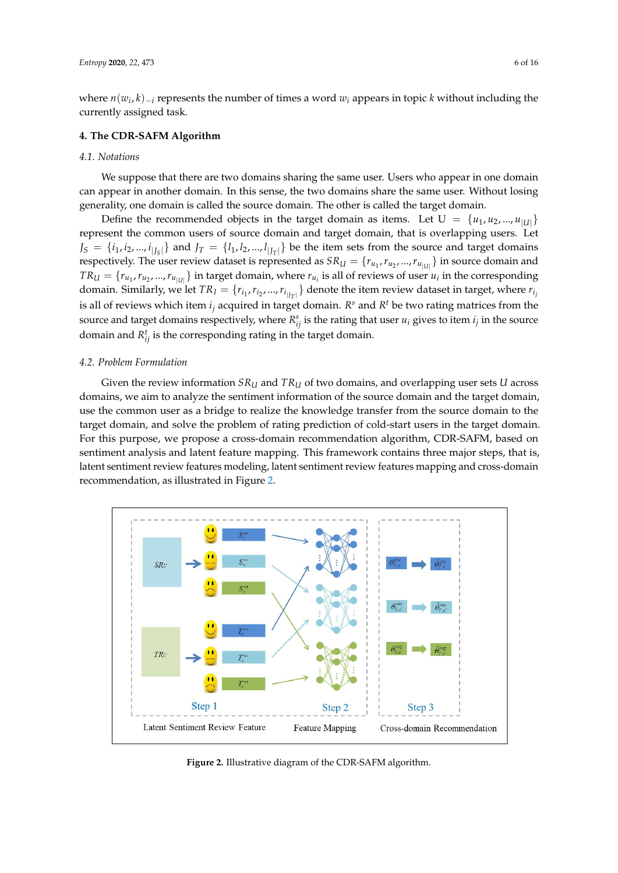where *n*(*w<sup>i</sup>* , *k*)−*<sup>i</sup>* represents the number of times a word *w<sup>i</sup>* appears in topic *k* without including the currently assigned task.

# <span id="page-5-0"></span>**4. The CDR-SAFM Algorithm**

# *4.1. Notations*

We suppose that there are two domains sharing the same user. Users who appear in one domain can appear in another domain. In this sense, the two domains share the same user. Without losing generality, one domain is called the source domain. The other is called the target domain.

Define the recommended objects in the target domain as items. Let  $U = \{u_1, u_2, ..., u_{|U|}\}\$ represent the common users of source domain and target domain, that is overlapping users. Let  $J_S = \{i_1, i_2, ..., i_{|J_S|}\}$  and  $J_T = \{l_1, l_2, ..., l_{|J_T|}\}$  be the item sets from the source and target domains respectively. The user review dataset is represented as  $SR_{U} = \{r_{u_1}, r_{u_2}, ..., r_{u_{|U|}}\}$  in source domain and  $TR_U = \{r_{u_1}, r_{u_2}, ..., r_{u_{|U|}}\}$  in target domain, where  $r_{u_i}$  is all of reviews of user  $u_i$  in the corresponding domain. Similarly, we let  $TR_I = \{r_{i_1}, r_{i_2}, ..., r_{i_{|J_T|}}\}$  denote the item review dataset in target, where  $r_{i_j}$ is all of reviews which item  $i_j$  acquired in target domain.  $R^s$  and  $R^t$  be two rating matrices from the source and target domains respectively, where  $R_{ij}^s$  is the rating that user  $u_i$  gives to item  $i_j$  in the source domain and  $R_{ij}^t$  is the corresponding rating in the target domain.

#### *4.2. Problem Formulation*

Given the review information *SR<sup>U</sup>* and *TR<sup>U</sup>* of two domains, and overlapping user sets *U* across domains, we aim to analyze the sentiment information of the source domain and the target domain, use the common user as a bridge to realize the knowledge transfer from the source domain to the target domain, and solve the problem of rating prediction of cold-start users in the target domain. For this purpose, we propose a cross-domain recommendation algorithm, CDR-SAFM, based on sentiment analysis and latent feature mapping. This framework contains three major steps, that is, latent sentiment review features modeling, latent sentiment review features mapping and cross-domain recommendation, as illustrated in Figure [2.](#page-5-1)

<span id="page-5-1"></span>

**Figure 2.** Illustrative diagram of the CDR-SAFM algorithm.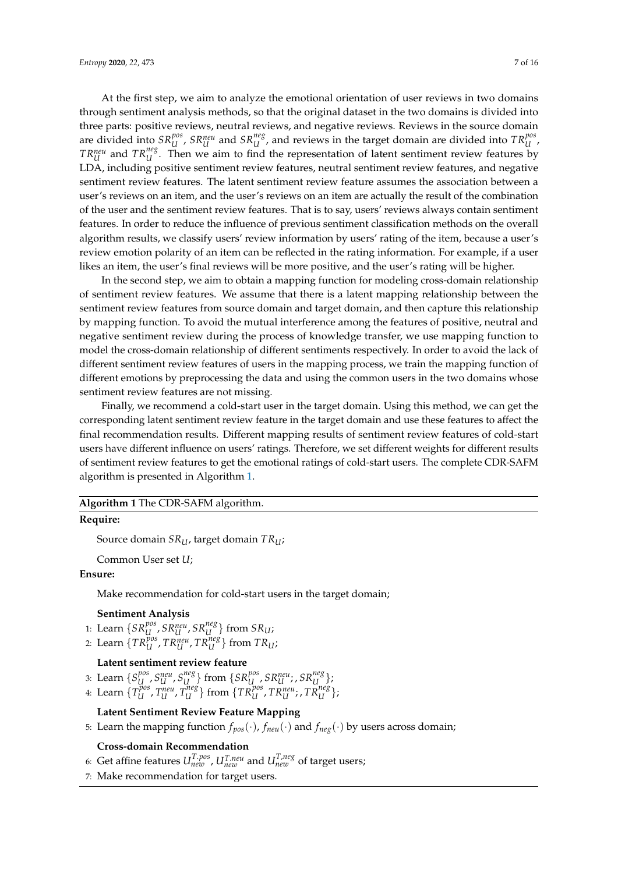through sentiment analysis methods, so that the original dataset in the two domains is divided into three parts: positive reviews, neutral reviews, and negative reviews. Reviews in the source domain are divided into  $SR_{U}^{pos}$ ,  $SR_{U}^{new}$  and  $SR_{U}^{neg}$ , and reviews in the target domain are divided into  $TR_{U}^{pos}$ , *TR*<sup>*neu*</sup> and *TR*<sup>*neg*</sup>. Then we aim to find the representation of latent sentiment review features by LDA, including positive sentiment review features, neutral sentiment review features, and negative sentiment review features. The latent sentiment review feature assumes the association between a user's reviews on an item, and the user's reviews on an item are actually the result of the combination of the user and the sentiment review features. That is to say, users' reviews always contain sentiment features. In order to reduce the influence of previous sentiment classification methods on the overall algorithm results, we classify users' review information by users' rating of the item, because a user's review emotion polarity of an item can be reflected in the rating information. For example, if a user likes an item, the user's final reviews will be more positive, and the user's rating will be higher.

In the second step, we aim to obtain a mapping function for modeling cross-domain relationship of sentiment review features. We assume that there is a latent mapping relationship between the sentiment review features from source domain and target domain, and then capture this relationship by mapping function. To avoid the mutual interference among the features of positive, neutral and negative sentiment review during the process of knowledge transfer, we use mapping function to model the cross-domain relationship of different sentiments respectively. In order to avoid the lack of different sentiment review features of users in the mapping process, we train the mapping function of different emotions by preprocessing the data and using the common users in the two domains whose sentiment review features are not missing.

Finally, we recommend a cold-start user in the target domain. Using this method, we can get the corresponding latent sentiment review feature in the target domain and use these features to affect the final recommendation results. Different mapping results of sentiment review features of cold-start users have different influence on users' ratings. Therefore, we set different weights for different results of sentiment review features to get the emotional ratings of cold-start users. The complete CDR-SAFM algorithm is presented in Algorithm [1.](#page-6-0)

# <span id="page-6-0"></span>**Algorithm 1** The CDR-SAFM algorithm.

# **Require:**

Source domain *SRU*, target domain *TRU*;

Common User set *U*;

# **Ensure:**

Make recommendation for cold-start users in the target domain;

# **Sentiment Analysis**

- 1: Learn  $\{SR_{U}^{pos}, SR_{U}^{neu}, SR_{U}^{neg}\}$  from  $SR_{U}$ ;
- 2: Learn  $\{TR_{U}^{\overline{p}os}, TR_{U}^{neu}, TR_{U}^{\overline{n}eg}\}$  from  $TR_{U}$ ;

# **Latent sentiment review feature**

- 3: Learn {*S pos U* , *S neu U* , *S neg u*<sup>neg</sup></sup> } from {  $SR_U^{pos}$  *, SR*<sup>neu</sup> ; , SR<sup>neg</sup> };
- 4: Learn  $\{T_{II}^{\overline{p}os}$ *U* , *T neu U* , *T neg U*<sup>*IR*</sup><sup>*U*</sup></sup>*U IR*<sup>*nos*</sup></sup>*I, <i>TR*<sup>*neg*</sup></sup> $\}$ ; *TR*<sup>*neg*</sup> $\}$ ;

# **Latent Sentiment Review Feature Mapping**

5: Learn the mapping function  $f_{pos}(\cdot)$ ,  $f_{neu}(\cdot)$  and  $f_{neg}(\cdot)$  by users across domain;

# **Cross-domain Recommendation**

- 6: Get affine features  $U_{new}^{T, pos}$ ,  $U_{new}^{T, new}$  and  $U_{new}^{T, neg}$  of target users;
- 7: Make recommendation for target users.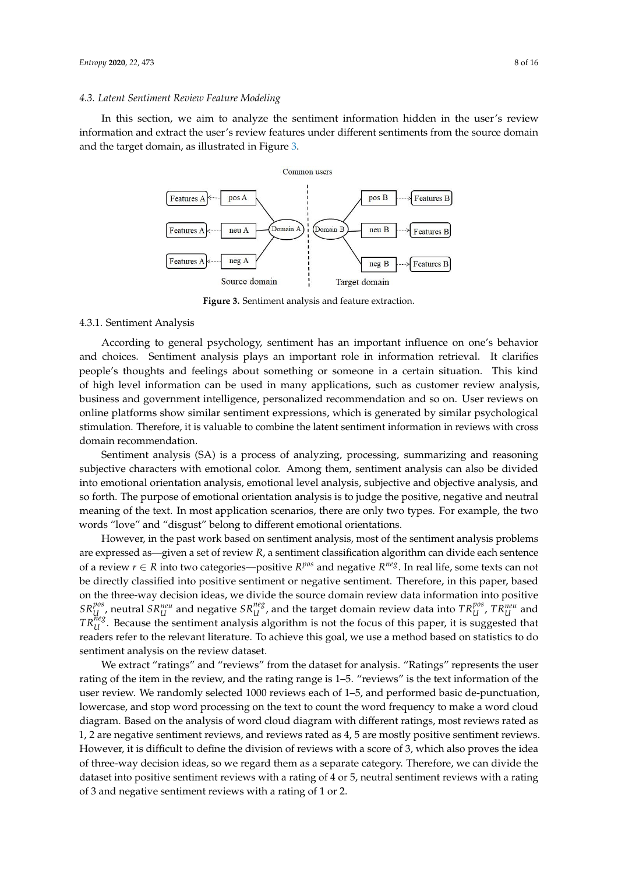# *4.3. Latent Sentiment Review Feature Modeling*

<span id="page-7-0"></span>In this section, we aim to analyze the sentiment information hidden in the user's review information and extract the user's review features under different sentiments from the source domain and the target domain, as illustrated in Figure [3.](#page-7-0)



**Figure 3.** Sentiment analysis and feature extraction.

# 4.3.1. Sentiment Analysis

According to general psychology, sentiment has an important influence on one's behavior and choices. Sentiment analysis plays an important role in information retrieval. It clarifies people's thoughts and feelings about something or someone in a certain situation. This kind of high level information can be used in many applications, such as customer review analysis, business and government intelligence, personalized recommendation and so on. User reviews on online platforms show similar sentiment expressions, which is generated by similar psychological stimulation. Therefore, it is valuable to combine the latent sentiment information in reviews with cross domain recommendation.

Sentiment analysis (SA) is a process of analyzing, processing, summarizing and reasoning subjective characters with emotional color. Among them, sentiment analysis can also be divided into emotional orientation analysis, emotional level analysis, subjective and objective analysis, and so forth. The purpose of emotional orientation analysis is to judge the positive, negative and neutral meaning of the text. In most application scenarios, there are only two types. For example, the two words "love" and "disgust" belong to different emotional orientations.

However, in the past work based on sentiment analysis, most of the sentiment analysis problems are expressed as—given a set of review *R*, a sentiment classification algorithm can divide each sentence of a review  $r \in R$  into two categories—positive  $R^{pos}$  and negative  $R^{neg}$ . In real life, some texts can not be directly classified into positive sentiment or negative sentiment. Therefore, in this paper, based on the three-way decision ideas, we divide the source domain review data information into positive  $SR_{U_{\alpha\alpha}}^{pos}$  neutral  $SR_{U}^{neu}$  and negative  $SR_{U}^{neg}$ , and the target domain review data into  $TR_{U}^{pos}$ ,  $TR_{U}^{neu}$  and  $TR_U^{\text{Heg}}$ . Because the sentiment analysis algorithm is not the focus of this paper, it is suggested that readers refer to the relevant literature. To achieve this goal, we use a method based on statistics to do sentiment analysis on the review dataset.

We extract "ratings" and "reviews" from the dataset for analysis. "Ratings" represents the user rating of the item in the review, and the rating range is 1–5. "reviews" is the text information of the user review. We randomly selected 1000 reviews each of 1–5, and performed basic de-punctuation, lowercase, and stop word processing on the text to count the word frequency to make a word cloud diagram. Based on the analysis of word cloud diagram with different ratings, most reviews rated as 1, 2 are negative sentiment reviews, and reviews rated as 4, 5 are mostly positive sentiment reviews. However, it is difficult to define the division of reviews with a score of 3, which also proves the idea of three-way decision ideas, so we regard them as a separate category. Therefore, we can divide the dataset into positive sentiment reviews with a rating of 4 or 5, neutral sentiment reviews with a rating of 3 and negative sentiment reviews with a rating of 1 or 2.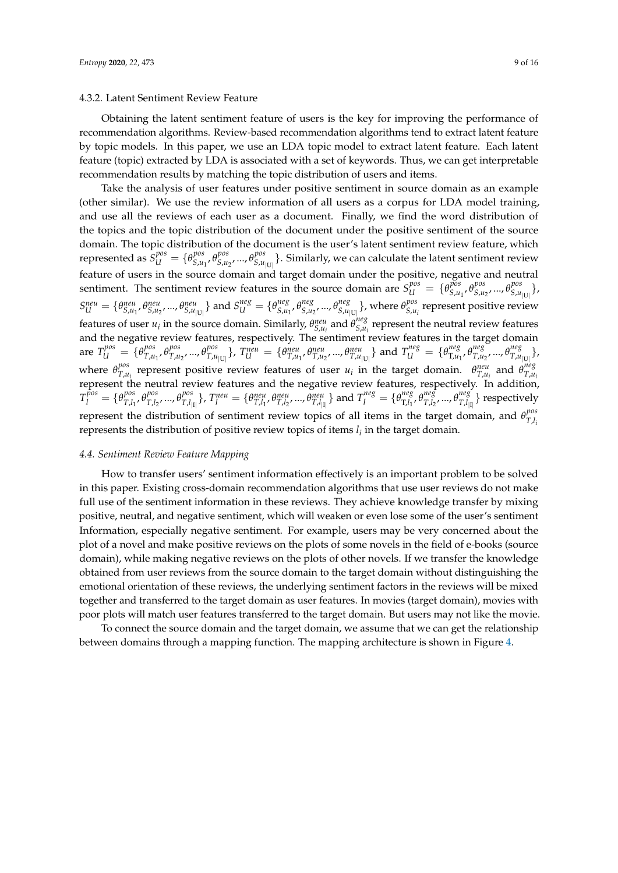# 4.3.2. Latent Sentiment Review Feature

Obtaining the latent sentiment feature of users is the key for improving the performance of recommendation algorithms. Review-based recommendation algorithms tend to extract latent feature by topic models. In this paper, we use an LDA topic model to extract latent feature. Each latent feature (topic) extracted by LDA is associated with a set of keywords. Thus, we can get interpretable recommendation results by matching the topic distribution of users and items.

Take the analysis of user features under positive sentiment in source domain as an example (other similar). We use the review information of all users as a corpus for LDA model training, and use all the reviews of each user as a document. Finally, we find the word distribution of the topics and the topic distribution of the document under the positive sentiment of the source domain. The topic distribution of the document is the user's latent sentiment review feature, which represented as  $S_{U}^{pos} = \{\theta_{S,u}^{pos}\}$ *S*,*u*<sup>1</sup> , *θ pos pos*<br>*S*,*u*<sub>2</sub>**, ..., θ**<sup>*pos*</sup>*S*,*u*  $\left\{\mathcal{S}, \mu_{|U|}\right\}$ . Similarly, we can calculate the latent sentiment review feature of users in the source domain and target domain under the positive, negative and neutral sentiment. The sentiment review features in the source domain are  $S_U^{pos} = \{ \theta_{S,u}^{pos} \}$ *S*,*u*<sup>1</sup> , *θ pos pos*<br>*S*,*u*<sub>2</sub>, ..., θ<sup>*pos*</sup></sup>*S*,*u*  ${}_{S,u_{|U|}}^{pos} \},$  $S_{U}^{neu} = \{\theta_{S,u_1}^{neu}, \theta_{S,u_2}^{neu}, ..., \theta_{S,u_{|U|}}^{neu}\}$  and  $S_{U}^{neg} = \{\theta_{S,u_1}^{neg}$ *neg*<br>*S*,*u*<sub>1</sub></sub>, *θ*<sup>*S*</sup>*S*,*u*<sub>1</sub> *neg*<br>*S*,*u*<sub>2</sub>*,* ..., θ<sup>*neg*</sup></sup>*S*,*u S*,*u*|U<sup>|</sup> }, where *θ pos*  $S_{\mu}^{pos}$  represent positive review features of user  $u_i$  in the source domain. Similarly,  $\theta_{S,u_i}^{neu}$  and  $\theta_{S,u_i}^{neg}$  $S_{S,u_i}^{m,g}$  represent the neutral review features and the negative review features, respectively. The sentiment review features in the target domain are  $T_U^{pos} = \{\theta_{T,u}^{pos}\}$ *T*,*u*<sup>1</sup> , *θ pos pos*<br>*T*,*u*<sub>2</sub>, ..., θ<sup>*pos*</sup></sup>*T*,*u*  $T^{pos}_{T,\mu_{|{\rm U}|}}\}$ ,  $T^{neu}_{U} \,=\, \{\theta^{neu}_{T,\mu_1},\theta^{neu}_{T,\mu_2},...,\theta^{neu}_{T,\mu_{|{\rm U}|}}\}$  and  $T^{neg}_{U} \,=\, \{\theta^{neg}_{T,\mu_1},\theta^{neu}_{T,\mu_2},...,\theta^{neu}_{T,\mu_{|{\rm U}|}}\}$ T,*u*<sup>1</sup> , *θ neg T*,*u*<sup>2</sup> , ..., *θ neg T*,*u*|U<sup>|</sup> }, where  $\theta_{T,u}^{pos}$ *p*<sup>*os*</sup></sup> $T, u_i$ </sub> represent positive review features of user *u<sub>i</sub>* in the target domain. *θ*<sup>*neu</sup>*</sup> $T, u_i$  and *θ*<sup>*neg</sup><sub>* $T, u_i$ *</sub></sup> T*,*u<sup>i</sup>* represent the neutral review features and the negative review features, respectively. In addition,  $T_I^{pos} = \{\theta_{T,l_1}^{pos}\}$ *T*,*l*<sup>1</sup> , *θ pos T*,*l*<sup>2</sup> , ..., *θ pos*  $T^{pos}_{T,l_{|I|}}\}$ ,  $T^{neu}_I = \{\theta^{neu}_{T,l_1}, \theta^{neu}_{T,l_2}, ..., \theta^{neu}_{T,l_{|I|}}\}$  and  $T^{neg}_I = \{\theta^{neg}_{T,l_1}\}$ T,*l*<sup>1</sup> , *θ neg T*,*l*<sup>2</sup> , ..., *θ neg*  $T$ ,*l*<sub>|I|</sub>} respectively represent the distribution of sentiment review topics of all items in the target domain, and *θ pos T*,*l i* represents the distribution of positive review topics of items *l<sup>i</sup>* in the target domain.

#### *4.4. Sentiment Review Feature Mapping*

How to transfer users' sentiment information effectively is an important problem to be solved in this paper. Existing cross-domain recommendation algorithms that use user reviews do not make full use of the sentiment information in these reviews. They achieve knowledge transfer by mixing positive, neutral, and negative sentiment, which will weaken or even lose some of the user's sentiment Information, especially negative sentiment. For example, users may be very concerned about the plot of a novel and make positive reviews on the plots of some novels in the field of e-books (source domain), while making negative reviews on the plots of other novels. If we transfer the knowledge obtained from user reviews from the source domain to the target domain without distinguishing the emotional orientation of these reviews, the underlying sentiment factors in the reviews will be mixed together and transferred to the target domain as user features. In movies (target domain), movies with poor plots will match user features transferred to the target domain. But users may not like the movie.

To connect the source domain and the target domain, we assume that we can get the relationship between domains through a mapping function. The mapping architecture is shown in Figure [4.](#page-9-0)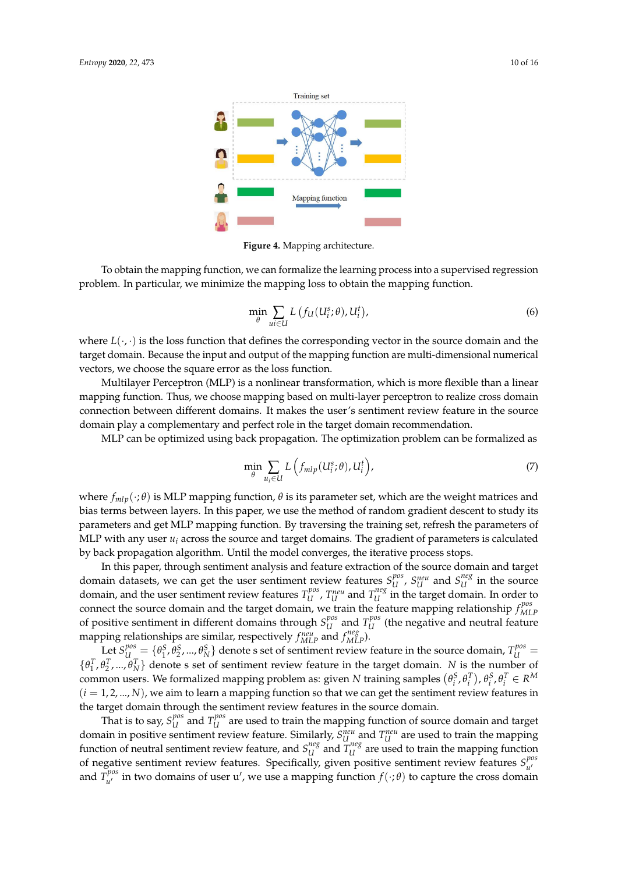<span id="page-9-0"></span>

**Figure 4.** Mapping architecture.

To obtain the mapping function, we can formalize the learning process into a supervised regression problem. In particular, we minimize the mapping loss to obtain the mapping function.

$$
\min_{\theta} \sum_{ui \in U} L\left(f_U(U_i^s; \theta), U_i^t\right),\tag{6}
$$

where  $L(\cdot, \cdot)$  is the loss function that defines the corresponding vector in the source domain and the target domain. Because the input and output of the mapping function are multi-dimensional numerical vectors, we choose the square error as the loss function.

Multilayer Perceptron (MLP) is a nonlinear transformation, which is more flexible than a linear mapping function. Thus, we choose mapping based on multi-layer perceptron to realize cross domain connection between different domains. It makes the user's sentiment review feature in the source domain play a complementary and perfect role in the target domain recommendation.

MLP can be optimized using back propagation. The optimization problem can be formalized as

$$
\min_{\theta} \sum_{u_i \in U} L\left(f_{mlp}(U_i^s; \theta), U_i^t\right),\tag{7}
$$

where  $f_{mln}(\cdot;\theta)$  is MLP mapping function,  $\theta$  is its parameter set, which are the weight matrices and bias terms between layers. In this paper, we use the method of random gradient descent to study its parameters and get MLP mapping function. By traversing the training set, refresh the parameters of MLP with any user *u<sup>i</sup>* across the source and target domains. The gradient of parameters is calculated by back propagation algorithm. Until the model converges, the iterative process stops.

In this paper, through sentiment analysis and feature extraction of the source domain and target domain datasets, we can get the user sentiment review features  $S_{II}^{pos}$ ,  $S_{II}^{neu}$  and  $S_{II}^{neg}$  in the source  $U \cdot U$  and  $U$ domain, and the user sentiment review features *T pos U* , *T neu U* and *T neg*  $\frac{u}{u}$  in the target domain. In order to connect the source domain and the target domain, we train the feature mapping relationship *f pos MLP* of positive sentiment in different domains through *S pos*  $U$ <sup>*pos*</sup></sup> and  $T_U^{pos}$  $\mathcal{U}$ <sup>tos</sup> (the negative and neutral feature mapping relationships are similar, respectively  $f_{MLP}^{neu}$  and  $f_{MLP}^{neg}$ ).

Let  $S_{U}^{pos} = \{\theta_1^S, \theta_2^S, ..., \theta_N^S\}$  denote s set of sentiment review feature in the source domain,  $T_{U}^{pos} =$  $\{\theta_1^T, \theta_2^T, ..., \theta_N^T\}$  denote s set of sentiment review feature in the target domain. *N* is the number of common users. We formalized mapping problem as: given *N* training samples  $(\theta_i^S, \theta_i^T), \theta_i^S, \theta_i^T \in R^M$  $(i = 1, 2, ..., N)$ , we aim to learn a mapping function so that we can get the sentiment review features in the target domain through the sentiment review features in the source domain.

That is to say, *S pos*  $U$ <sup>*pos*</sup></sup> and  $T_U^{pos}$ *U*<sup>*U*</sup> are used to train the mapping function of source domain and target domain in positive sentiment review feature. Similarly,  $S_U^{neu}$  and  $T_U^{neu}$  are used to train the mapping function of neutral sentiment review feature, and *S neg*  $U$ <sup>neg</sup> and  $T_U^{neg}$ *U*<sub>*U*</sub> are used to train the mapping function of negative sentiment review features. Specifically, given positive sentiment review features  $S_{\mu}^{\mu}$ and  $\overline{T}_{u'}^{pos}$  $\int u^{\log}$  in two domains of user u', we use a mapping function  $f(\cdot;\theta)$  to capture the cross domain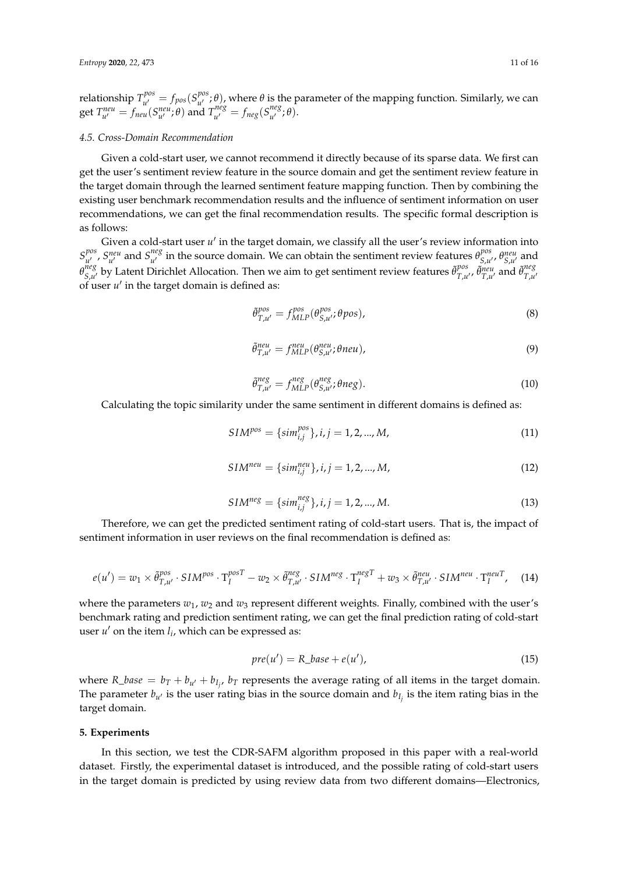relationship *T pos*  $J_{\mu}^{pos} = f_{pos}(S_{\mu}^{pos})$  $\mu^{\nu s}$ ;  $\theta$ ), where  $\theta$  is the parameter of the mapping function. Similarly, we can get  $T_{u'}^{neu} = f_{neu}(S_{u'}^{neu}; \theta)$  and  $T_{u'}^{neg}$  $\int_{u'}^{neg} = f_{neg}(S_{u'}^{neg})$  $\frac{neg}{u'}, \theta$ ).

# *4.5. Cross-Domain Recommendation*

Given a cold-start user, we cannot recommend it directly because of its sparse data. We first can get the user's sentiment review feature in the source domain and get the sentiment review feature in the target domain through the learned sentiment feature mapping function. Then by combining the existing user benchmark recommendation results and the influence of sentiment information on user recommendations, we can get the final recommendation results. The specific formal description is as follows:

Given a cold-start user u' in the target domain, we classify all the user's review information into *S pos*  $v_{u'}^{pos}$ ,  $S_{u'}^{neu}$  and  $S_{u'}^{neg}$  $\frac{neg}{u'}$  in the source domain. We can obtain the sentiment review features  $θ_{S,u}^{pos}$ *f<sup>pos</sup>*, *θ*<sup>*neu*</sup> and *θ neg*  $\frac{neg}{S,u'}$  by Latent Dirichlet Allocation. Then we aim to get sentiment review features  $\tilde{\theta}^{pos}_{T,u}$  $T^{pos}_{T,u'}$ ,  $\tilde{\theta}^{neu}_{T,u'}$  and  $\tilde{\theta}^{neg}_{T,u'}$ *T*,*u* 0 of user  $u'$  in the target domain is defined as:

$$
\tilde{\theta}_{T,u'}^{pos} = f_{MLP}^{pos}(\theta_{S,u'}^{pos}; \theta pos),\tag{8}
$$

$$
\tilde{\theta}_{T,u'}^{neu} = f_{MLP}^{neu}(\theta_{S,u'}^{neu}; \theta neu), \qquad (9)
$$

$$
\tilde{\theta}_{T,u'}^{neg} = f_{MLP}^{neg}(\theta_{S,u'}^{neg}; \theta neg).
$$
\n(10)

Calculating the topic similarity under the same sentiment in different domains is defined as:

$$
SIM^{pos} = \{sim_{i,j}^{pos}\}, i, j = 1, 2, ..., M,
$$
\n(11)

$$
SIM^{neu} = \{sim_{i,j}^{neu}\}, i, j = 1, 2, ..., M,
$$
\n(12)

$$
SIM^{neg} = \{sim_{i,j}^{neg}\}, i, j = 1, 2, ..., M.
$$
\n(13)

Therefore, we can get the predicted sentiment rating of cold-start users. That is, the impact of sentiment information in user reviews on the final recommendation is defined as:

$$
e(u') = w_1 \times \tilde{\theta}_{T,u'}^{pos} \cdot SIM^{pos} \cdot T_I^{posT} - w_2 \times \tilde{\theta}_{T,u'}^{neg} \cdot SIM^{neg} \cdot T_I^{negT} + w_3 \times \tilde{\theta}_{T,u'}^{neu} \cdot SIM^{neu} \cdot T_I^{neuT}, \quad (14)
$$

where the parameters  $w_1$ ,  $w_2$  and  $w_3$  represent different weights. Finally, combined with the user's benchmark rating and prediction sentiment rating, we can get the final prediction rating of cold-start user  $u'$  on the item  $l_i$ , which can be expressed as:

$$
pre(u') = R\_base + e(u'),
$$
\n(15)

where  $R\_base = b_T + b_{u'} + b_{I_j}$ ,  $b_T$  represents the average rating of all items in the target domain. The parameter  $b_{u'}$  is the user rating bias in the source domain and  $b_{I_j}$  is the item rating bias in the target domain.

#### <span id="page-10-0"></span>**5. Experiments**

In this section, we test the CDR-SAFM algorithm proposed in this paper with a real-world dataset. Firstly, the experimental dataset is introduced, and the possible rating of cold-start users in the target domain is predicted by using review data from two different domains—Electronics,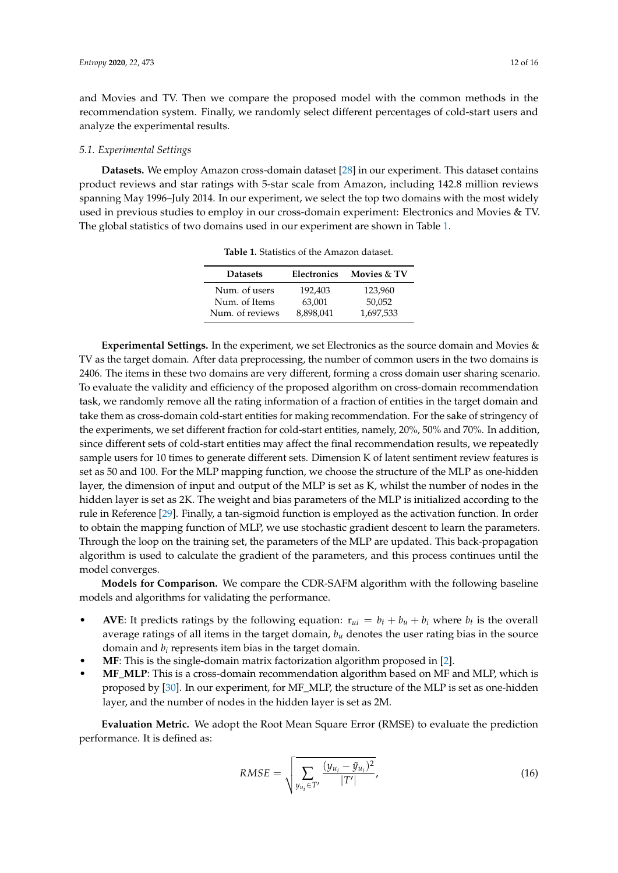and Movies and TV. Then we compare the proposed model with the common methods in the recommendation system. Finally, we randomly select different percentages of cold-start users and analyze the experimental results.

#### *5.1. Experimental Settings*

<span id="page-11-0"></span>**Datasets.** We employ Amazon cross-domain dataset [\[28\]](#page-15-2) in our experiment. This dataset contains product reviews and star ratings with 5-star scale from Amazon, including 142.8 million reviews spanning May 1996–July 2014. In our experiment, we select the top two domains with the most widely used in previous studies to employ in our cross-domain experiment: Electronics and Movies & TV. The global statistics of two domains used in our experiment are shown in Table [1.](#page-11-0)

| <b>Datasets</b> | Electronics | Movies & TV |
|-----------------|-------------|-------------|
| Num. of users   | 192.403     | 123.960     |
| Num. of Items   | 63,001      | 50,052      |
| Num. of reviews | 8,898,041   | 1,697,533   |

**Table 1.** Statistics of the Amazon dataset.

**Experimental Settings.** In the experiment, we set Electronics as the source domain and Movies & TV as the target domain. After data preprocessing, the number of common users in the two domains is 2406. The items in these two domains are very different, forming a cross domain user sharing scenario. To evaluate the validity and efficiency of the proposed algorithm on cross-domain recommendation task, we randomly remove all the rating information of a fraction of entities in the target domain and take them as cross-domain cold-start entities for making recommendation. For the sake of stringency of the experiments, we set different fraction for cold-start entities, namely, 20%, 50% and 70%. In addition, since different sets of cold-start entities may affect the final recommendation results, we repeatedly sample users for 10 times to generate different sets. Dimension K of latent sentiment review features is set as 50 and 100. For the MLP mapping function, we choose the structure of the MLP as one-hidden layer, the dimension of input and output of the MLP is set as K, whilst the number of nodes in the hidden layer is set as 2K. The weight and bias parameters of the MLP is initialized according to the rule in Reference [\[29\]](#page-15-3). Finally, a tan-sigmoid function is employed as the activation function. In order to obtain the mapping function of MLP, we use stochastic gradient descent to learn the parameters. Through the loop on the training set, the parameters of the MLP are updated. This back-propagation algorithm is used to calculate the gradient of the parameters, and this process continues until the model converges.

**Models for Comparison.** We compare the CDR-SAFM algorithm with the following baseline models and algorithms for validating the performance.

- **AVE**: It predicts ratings by the following equation:  $r_{ui} = b_t + b_u + b_i$  where  $b_t$  is the overall average ratings of all items in the target domain,  $b<sub>u</sub>$  denotes the user rating bias in the source domain and *b<sup>i</sup>* represents item bias in the target domain.
- **MF**: This is the single-domain matrix factorization algorithm proposed in [\[2\]](#page-13-1).
- **MF\_MLP**: This is a cross-domain recommendation algorithm based on MF and MLP, which is proposed by [\[30\]](#page-15-4). In our experiment, for MF\_MLP, the structure of the MLP is set as one-hidden layer, and the number of nodes in the hidden layer is set as 2M.

**Evaluation Metric.** We adopt the Root Mean Square Error (RMSE) to evaluate the prediction performance. It is defined as:

RMSE = 
$$
\sqrt{\sum_{y_{u_i} \in T'} \frac{(y_{u_i} - \tilde{y}_{u_i})^2}{|T'|}},
$$
 (16)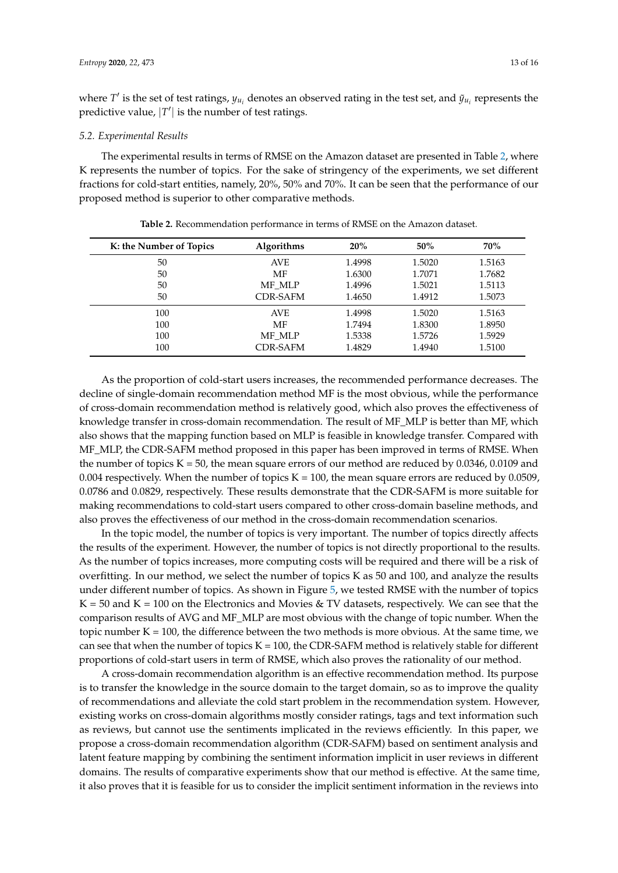where  $T'$  is the set of test ratings,  $y_{u_i}$  denotes an observed rating in the test set, and  $\tilde{y}_{u_i}$  represents the predictive value,  $|T'|$  is the number of test ratings.

# *5.2. Experimental Results*

The experimental results in terms of RMSE on the Amazon dataset are presented in Table [2,](#page-12-0) where K represents the number of topics. For the sake of stringency of the experiments, we set different fractions for cold-start entities, namely, 20%, 50% and 70%. It can be seen that the performance of our proposed method is superior to other comparative methods.

<span id="page-12-0"></span>

| K: the Number of Topics | <b>Algorithms</b> | 20%    | 50%    | <b>70%</b> |
|-------------------------|-------------------|--------|--------|------------|
| 50                      | <b>AVE</b>        | 1.4998 | 1.5020 | 1.5163     |
| 50                      | MF                | 1.6300 | 1.7071 | 1.7682     |
| 50                      | MF MLP            | 1.4996 | 1.5021 | 1.5113     |
| 50                      | <b>CDR-SAFM</b>   | 1.4650 | 1.4912 | 1.5073     |
| 100                     | <b>AVE</b>        | 1.4998 | 1.5020 | 1.5163     |
| 100                     | MF                | 1.7494 | 1.8300 | 1.8950     |
| 100                     | MF MLP            | 1.5338 | 1.5726 | 1.5929     |
| 100                     | <b>CDR-SAFM</b>   | 1.4829 | 1.4940 | 1.5100     |

**Table 2.** Recommendation performance in terms of RMSE on the Amazon dataset.

As the proportion of cold-start users increases, the recommended performance decreases. The decline of single-domain recommendation method MF is the most obvious, while the performance of cross-domain recommendation method is relatively good, which also proves the effectiveness of knowledge transfer in cross-domain recommendation. The result of MF\_MLP is better than MF, which also shows that the mapping function based on MLP is feasible in knowledge transfer. Compared with MF\_MLP, the CDR-SAFM method proposed in this paper has been improved in terms of RMSE. When the number of topics  $K = 50$ , the mean square errors of our method are reduced by 0.0346, 0.0109 and 0.004 respectively. When the number of topics  $K = 100$ , the mean square errors are reduced by 0.0509, 0.0786 and 0.0829, respectively. These results demonstrate that the CDR-SAFM is more suitable for making recommendations to cold-start users compared to other cross-domain baseline methods, and also proves the effectiveness of our method in the cross-domain recommendation scenarios.

In the topic model, the number of topics is very important. The number of topics directly affects the results of the experiment. However, the number of topics is not directly proportional to the results. As the number of topics increases, more computing costs will be required and there will be a risk of overfitting. In our method, we select the number of topics K as 50 and 100, and analyze the results under different number of topics. As shown in Figure [5,](#page-13-4) we tested RMSE with the number of topics  $K = 50$  and  $K = 100$  on the Electronics and Movies & TV datasets, respectively. We can see that the comparison results of AVG and MF\_MLP are most obvious with the change of topic number. When the topic number  $K = 100$ , the difference between the two methods is more obvious. At the same time, we can see that when the number of topics  $K = 100$ , the CDR-SAFM method is relatively stable for different proportions of cold-start users in term of RMSE, which also proves the rationality of our method.

A cross-domain recommendation algorithm is an effective recommendation method. Its purpose is to transfer the knowledge in the source domain to the target domain, so as to improve the quality of recommendations and alleviate the cold start problem in the recommendation system. However, existing works on cross-domain algorithms mostly consider ratings, tags and text information such as reviews, but cannot use the sentiments implicated in the reviews efficiently. In this paper, we propose a cross-domain recommendation algorithm (CDR-SAFM) based on sentiment analysis and latent feature mapping by combining the sentiment information implicit in user reviews in different domains. The results of comparative experiments show that our method is effective. At the same time, it also proves that it is feasible for us to consider the implicit sentiment information in the reviews into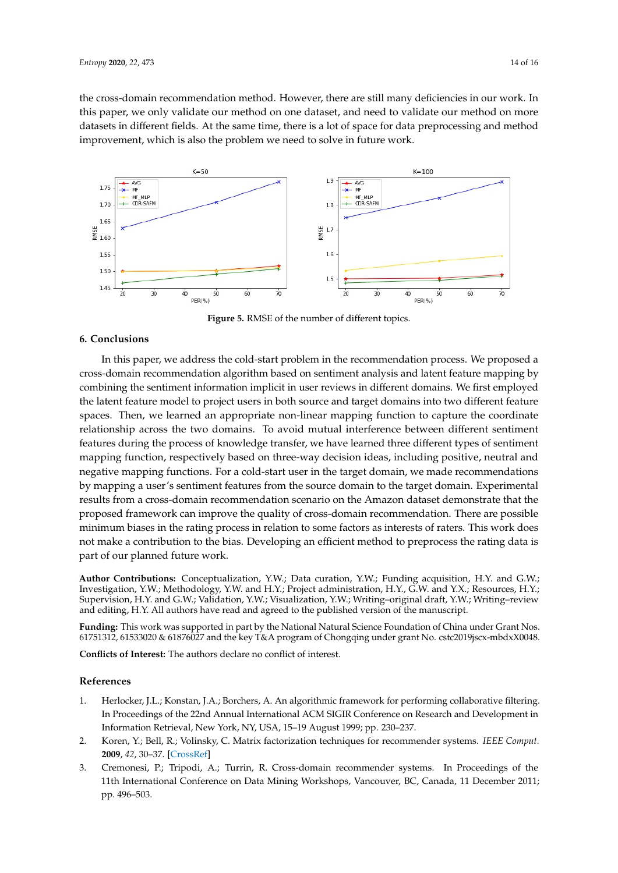the cross-domain recommendation method. However, there are still many deficiencies in our work. In this paper, we only validate our method on one dataset, and need to validate our method on more datasets in different fields. At the same time, there is a lot of space for data preprocessing and method improvement, which is also the problem we need to solve in future work.

<span id="page-13-4"></span>

**Figure 5.** RMSE of the number of different topics.

# <span id="page-13-3"></span>**6. Conclusions**

In this paper, we address the cold-start problem in the recommendation process. We proposed a cross-domain recommendation algorithm based on sentiment analysis and latent feature mapping by combining the sentiment information implicit in user reviews in different domains. We first employed the latent feature model to project users in both source and target domains into two different feature spaces. Then, we learned an appropriate non-linear mapping function to capture the coordinate relationship across the two domains. To avoid mutual interference between different sentiment features during the process of knowledge transfer, we have learned three different types of sentiment mapping function, respectively based on three-way decision ideas, including positive, neutral and negative mapping functions. For a cold-start user in the target domain, we made recommendations by mapping a user's sentiment features from the source domain to the target domain. Experimental results from a cross-domain recommendation scenario on the Amazon dataset demonstrate that the proposed framework can improve the quality of cross-domain recommendation. There are possible minimum biases in the rating process in relation to some factors as interests of raters. This work does not make a contribution to the bias. Developing an efficient method to preprocess the rating data is part of our planned future work.

**Author Contributions:** Conceptualization, Y.W.; Data curation, Y.W.; Funding acquisition, H.Y. and G.W.; Investigation, Y.W.; Methodology, Y.W. and H.Y.; Project administration, H.Y., G.W. and Y.X.; Resources, H.Y.; Supervision, H.Y. and G.W.; Validation, Y.W.; Visualization, Y.W.; Writing–original draft, Y.W.; Writing–review and editing, H.Y. All authors have read and agreed to the published version of the manuscript.

**Funding:** This work was supported in part by the National Natural Science Foundation of China under Grant Nos. 61751312, 61533020 & 61876027 and the key T&A program of Chongqing under grant No. cstc2019jscx-mbdxX0048.

**Conflicts of Interest:** The authors declare no conflict of interest.

#### **References**

- <span id="page-13-0"></span>1. Herlocker, J.L.; Konstan, J.A.; Borchers, A. An algorithmic framework for performing collaborative filtering. In Proceedings of the 22nd Annual International ACM SIGIR Conference on Research and Development in Information Retrieval, New York, NY, USA, 15–19 August 1999; pp. 230–237.
- <span id="page-13-1"></span>2. Koren, Y.; Bell, R.; Volinsky, C. Matrix factorization techniques for recommender systems. *IEEE Comput.* **2009**, *42*, 30–37. [\[CrossRef\]](http://dx.doi.org/10.1109/MC.2009.263)
- <span id="page-13-2"></span>3. Cremonesi, P.; Tripodi, A.; Turrin, R. Cross-domain recommender systems. In Proceedings of the 11th International Conference on Data Mining Workshops, Vancouver, BC, Canada, 11 December 2011; pp. 496–503.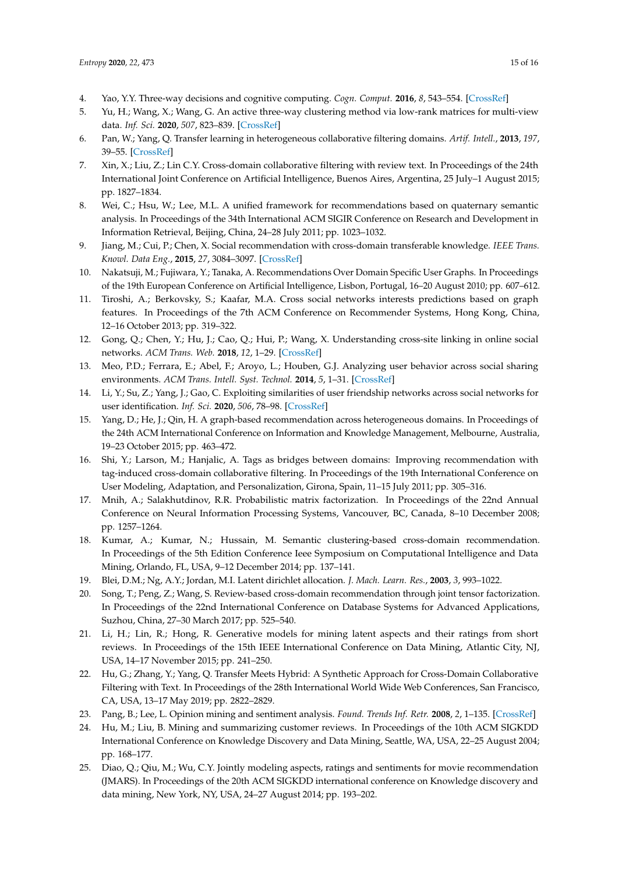- <span id="page-14-0"></span>4. Yao, Y.Y. Three-way decisions and cognitive computing. *Cogn. Comput.* **2016**, *8*, 543–554. [\[CrossRef\]](http://dx.doi.org/10.1007/s12559-016-9397-5)
- <span id="page-14-1"></span>5. Yu, H.; Wang, X.; Wang, G. An active three-way clustering method via low-rank matrices for multi-view data. *Inf. Sci.* **2020**, *507*, 823–839. [\[CrossRef\]](http://dx.doi.org/10.1016/j.ins.2018.03.009)
- <span id="page-14-2"></span>6. Pan, W.; Yang, Q. Transfer learning in heterogeneous collaborative filtering domains. *Artif. Intell.*, **2013**, *197*, 39–55. [\[CrossRef\]](http://dx.doi.org/10.1016/j.artint.2013.01.003)
- <span id="page-14-4"></span>7. Xin, X.; Liu, Z.; Lin C.Y. Cross-domain collaborative filtering with review text. In Proceedings of the 24th International Joint Conference on Artificial Intelligence, Buenos Aires, Argentina, 25 July–1 August 2015; pp. 1827–1834.
- <span id="page-14-3"></span>8. Wei, C.; Hsu, W.; Lee, M.L. A unified framework for recommendations based on quaternary semantic analysis. In Proceedings of the 34th International ACM SIGIR Conference on Research and Development in Information Retrieval, Beijing, China, 24–28 July 2011; pp. 1023–1032.
- <span id="page-14-5"></span>9. Jiang, M.; Cui, P.; Chen, X. Social recommendation with cross-domain transferable knowledge. *IEEE Trans. Knowl. Data Eng.*, **2015**, *27*, 3084–3097. [\[CrossRef\]](http://dx.doi.org/10.1109/TKDE.2015.2432811)
- 10. Nakatsuji, M.; Fujiwara, Y.; Tanaka, A. Recommendations Over Domain Specific User Graphs. In Proceedings of the 19th European Conference on Artificial Intelligence, Lisbon, Portugal, 16–20 August 2010; pp. 607–612.
- <span id="page-14-6"></span>11. Tiroshi, A.; Berkovsky, S.; Kaafar, M.A. Cross social networks interests predictions based on graph features. In Proceedings of the 7th ACM Conference on Recommender Systems, Hong Kong, China, 12–16 October 2013; pp. 319–322.
- <span id="page-14-7"></span>12. Gong, Q.; Chen, Y.; Hu, J.; Cao, Q.; Hui, P.; Wang, X. Understanding cross-site linking in online social networks. *ACM Trans. Web.* **2018**, *12*, 1–29. [\[CrossRef\]](http://dx.doi.org/10.1145/3213898)
- 13. Meo, P.D.; Ferrara, E.; Abel, F.; Aroyo, L.; Houben, G.J. Analyzing user behavior across social sharing environments. *ACM Trans. Intell. Syst. Technol.* **2014**, *5*, 1–31. [\[CrossRef\]](http://dx.doi.org/10.1145/2535526)
- <span id="page-14-8"></span>14. Li, Y.; Su, Z.; Yang, J.; Gao, C. Exploiting similarities of user friendship networks across social networks for user identification. *Inf. Sci.* **2020**, *506*, 78–98. [\[CrossRef\]](http://dx.doi.org/10.1016/j.ins.2019.08.022)
- <span id="page-14-9"></span>15. Yang, D.; He, J.; Qin, H. A graph-based recommendation across heterogeneous domains. In Proceedings of the 24th ACM International Conference on Information and Knowledge Management, Melbourne, Australia, 19–23 October 2015; pp. 463–472.
- <span id="page-14-10"></span>16. Shi, Y.; Larson, M.; Hanjalic, A. Tags as bridges between domains: Improving recommendation with tag-induced cross-domain collaborative filtering. In Proceedings of the 19th International Conference on User Modeling, Adaptation, and Personalization, Girona, Spain, 11–15 July 2011; pp. 305–316.
- <span id="page-14-11"></span>17. Mnih, A.; Salakhutdinov, R.R. Probabilistic matrix factorization. In Proceedings of the 22nd Annual Conference on Neural Information Processing Systems, Vancouver, BC, Canada, 8–10 December 2008; pp. 1257–1264.
- <span id="page-14-12"></span>18. Kumar, A.; Kumar, N.; Hussain, M. Semantic clustering-based cross-domain recommendation. In Proceedings of the 5th Edition Conference Ieee Symposium on Computational Intelligence and Data Mining, Orlando, FL, USA, 9–12 December 2014; pp. 137–141.
- <span id="page-14-13"></span>19. Blei, D.M.; Ng, A.Y.; Jordan, M.I. Latent dirichlet allocation. *J. Mach. Learn. Res.*, **2003**, *3*, 993–1022.
- <span id="page-14-14"></span>20. Song, T.; Peng, Z.; Wang, S. Review-based cross-domain recommendation through joint tensor factorization. In Proceedings of the 22nd International Conference on Database Systems for Advanced Applications, Suzhou, China, 27–30 March 2017; pp. 525–540.
- <span id="page-14-15"></span>21. Li, H.; Lin, R.; Hong, R. Generative models for mining latent aspects and their ratings from short reviews. In Proceedings of the 15th IEEE International Conference on Data Mining, Atlantic City, NJ, USA, 14–17 November 2015; pp. 241–250.
- <span id="page-14-16"></span>22. Hu, G.; Zhang, Y.; Yang, Q. Transfer Meets Hybrid: A Synthetic Approach for Cross-Domain Collaborative Filtering with Text. In Proceedings of the 28th International World Wide Web Conferences, San Francisco, CA, USA, 13–17 May 2019; pp. 2822–2829.
- <span id="page-14-17"></span>23. Pang, B.; Lee, L. Opinion mining and sentiment analysis. *Found. Trends Inf. Retr.* **2008**, *2*, 1–135. [\[CrossRef\]](http://dx.doi.org/10.1561/1500000011)
- <span id="page-14-18"></span>24. Hu, M.; Liu, B. Mining and summarizing customer reviews. In Proceedings of the 10th ACM SIGKDD International Conference on Knowledge Discovery and Data Mining, Seattle, WA, USA, 22–25 August 2004; pp. 168–177.
- <span id="page-14-19"></span>25. Diao, Q.; Qiu, M.; Wu, C.Y. Jointly modeling aspects, ratings and sentiments for movie recommendation (JMARS). In Proceedings of the 20th ACM SIGKDD international conference on Knowledge discovery and data mining, New York, NY, USA, 24–27 August 2014; pp. 193–202.